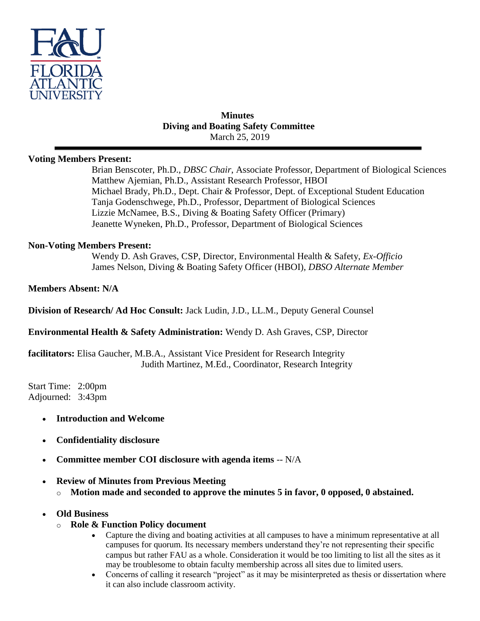

## **Minutes Diving and Boating Safety Committee** March 25, 2019

## **Voting Members Present:**

Brian Benscoter, Ph.D., *DBSC Chair*, Associate Professor, Department of Biological Sciences Matthew Ajemian, Ph.D., Assistant Research Professor, HBOI Michael Brady, Ph.D., Dept. Chair & Professor, Dept. of Exceptional Student Education Tanja Godenschwege, Ph.D., Professor, Department of Biological Sciences Lizzie McNamee, B.S., Diving & Boating Safety Officer (Primary) Jeanette Wyneken, Ph.D., Professor, Department of Biological Sciences

## **Non-Voting Members Present:**

Wendy D. Ash Graves, CSP, Director, Environmental Health & Safety, *Ex-Officio* James Nelson, Diving & Boating Safety Officer (HBOI), *DBSO Alternate Member*

## **Members Absent: N/A**

**Division of Research/ Ad Hoc Consult:** Jack Ludin, J.D., LL.M., Deputy General Counsel

**Environmental Health & Safety Administration:** Wendy D. Ash Graves, CSP, Director

**facilitators:** Elisa Gaucher, M.B.A., Assistant Vice President for Research Integrity Judith Martinez, M.Ed., Coordinator, Research Integrity

Start Time: 2:00pm Adjourned: 3:43pm

- **Introduction and Welcome**
- **Confidentiality disclosure**
- **Committee member COI disclosure with agenda items** -- N/A
- **Review of Minutes from Previous Meeting**
	- o **Motion made and seconded to approve the minutes 5 in favor, 0 opposed, 0 abstained.**

## **Old Business**

- o **Role & Function Policy document**
	- Capture the diving and boating activities at all campuses to have a minimum representative at all campuses for quorum. Its necessary members understand they're not representing their specific campus but rather FAU as a whole. Consideration it would be too limiting to list all the sites as it may be troublesome to obtain faculty membership across all sites due to limited users.
	- Concerns of calling it research "project" as it may be misinterpreted as thesis or dissertation where it can also include classroom activity.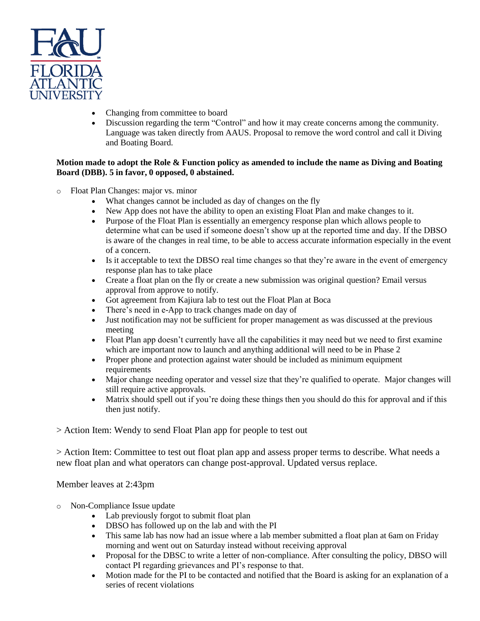

- Changing from committee to board
- Discussion regarding the term "Control" and how it may create concerns among the community. Language was taken directly from AAUS. Proposal to remove the word control and call it Diving and Boating Board.

#### **Motion made to adopt the Role & Function policy as amended to include the name as Diving and Boating Board (DBB). 5 in favor, 0 opposed, 0 abstained.**

- o Float Plan Changes: major vs. minor
	- What changes cannot be included as day of changes on the fly
	- New App does not have the ability to open an existing Float Plan and make changes to it.
	- Purpose of the Float Plan is essentially an emergency response plan which allows people to determine what can be used if someone doesn't show up at the reported time and day. If the DBSO is aware of the changes in real time, to be able to access accurate information especially in the event of a concern.
	- Is it acceptable to text the DBSO real time changes so that they're aware in the event of emergency response plan has to take place
	- Create a float plan on the fly or create a new submission was original question? Email versus approval from approve to notify.
	- Got agreement from Kajiura lab to test out the Float Plan at Boca
	- There's need in e-App to track changes made on day of
	- Just notification may not be sufficient for proper management as was discussed at the previous meeting
	- Float Plan app doesn't currently have all the capabilities it may need but we need to first examine which are important now to launch and anything additional will need to be in Phase 2
	- Proper phone and protection against water should be included as minimum equipment requirements
	- Major change needing operator and vessel size that they're qualified to operate. Major changes will still require active approvals.
	- Matrix should spell out if you're doing these things then you should do this for approval and if this then just notify.

> Action Item: Wendy to send Float Plan app for people to test out

> Action Item: Committee to test out float plan app and assess proper terms to describe. What needs a new float plan and what operators can change post-approval. Updated versus replace.

## Member leaves at 2:43pm

- o Non-Compliance Issue update
	- Lab previously forgot to submit float plan
	- DBSO has followed up on the lab and with the PI
	- This same lab has now had an issue where a lab member submitted a float plan at 6am on Friday morning and went out on Saturday instead without receiving approval
	- Proposal for the DBSC to write a letter of non-compliance. After consulting the policy, DBSO will contact PI regarding grievances and PI's response to that.
	- Motion made for the PI to be contacted and notified that the Board is asking for an explanation of a series of recent violations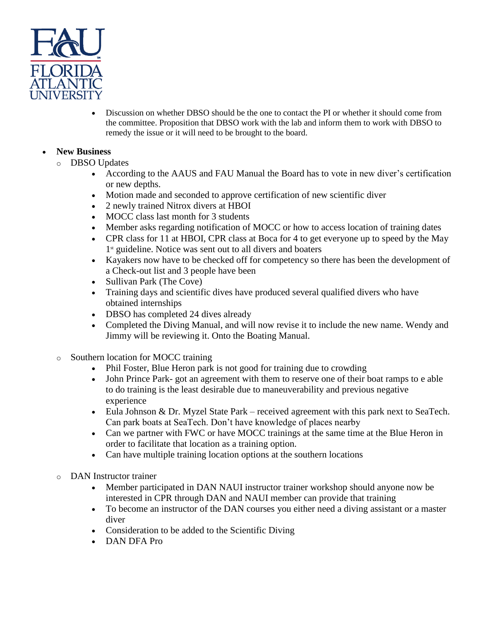

 Discussion on whether DBSO should be the one to contact the PI or whether it should come from the committee. Proposition that DBSO work with the lab and inform them to work with DBSO to remedy the issue or it will need to be brought to the board.

## **New Business**

- o DBSO Updates
	- According to the AAUS and FAU Manual the Board has to vote in new diver's certification or new depths.
	- Motion made and seconded to approve certification of new scientific diver
	- 2 newly trained Nitrox divers at HBOI
	- MOCC class last month for 3 students
	- Member asks regarding notification of MOCC or how to access location of training dates
	- CPR class for 11 at HBOI, CPR class at Boca for 4 to get everyone up to speed by the May 1<sup>st</sup> guideline. Notice was sent out to all divers and boaters
	- Kayakers now have to be checked off for competency so there has been the development of a Check-out list and 3 people have been
	- Sullivan Park (The Cove)
	- Training days and scientific dives have produced several qualified divers who have obtained internships
	- DBSO has completed 24 dives already
	- Completed the Diving Manual, and will now revise it to include the new name. Wendy and Jimmy will be reviewing it. Onto the Boating Manual.
- Southern location for MOCC training
	- Phil Foster, Blue Heron park is not good for training due to crowding
	- John Prince Park- got an agreement with them to reserve one of their boat ramps to e able to do training is the least desirable due to maneuverability and previous negative experience
	- Eula Johnson  $& Dr. Myzel State Park received agreement with this park next to Sea Tech.$ Can park boats at SeaTech. Don't have knowledge of places nearby
	- Can we partner with FWC or have MOCC trainings at the same time at the Blue Heron in order to facilitate that location as a training option.
	- Can have multiple training location options at the southern locations
- o DAN Instructor trainer
	- Member participated in DAN NAUI instructor trainer workshop should anyone now be interested in CPR through DAN and NAUI member can provide that training
	- To become an instructor of the DAN courses you either need a diving assistant or a master diver
	- Consideration to be added to the Scientific Diving
	- DAN DFA Pro